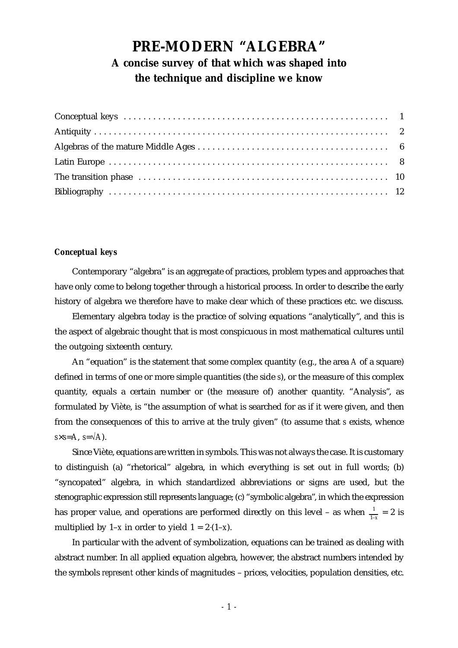# **PRE-MODERN "ALGEBRA" A concise survey of that which was shaped into the technique and discipline we know**

## *Conceptual keys*

Contemporary "algebra" is an aggregate of practices, problem types and approaches that have only come to belong together through a historical process. In order to describe the early history of algebra we therefore have to make clear which of these practices etc. we discuss.

Elementary algebra today is the practice of solving equations "analytically", and this is the aspect of algebraic thought that is most conspicuous in most mathematical cultures until the outgoing sixteenth century.

An "equation" is the statement that some complex quantity (e.g., the area *A* of a square) defined in terms of one or more simple quantities (the side *s*), or the measure of this complex quantity, equals a certain number or (the measure of) another quantity. "Analysis", as formulated by Viète, is "the assumption of what is searched for as if it were given, and then from the consequences of this to arrive at the truly given" (to assume that *s* exists, whence  $s \times s = A$ ,  $s = \sqrt{A}$ ).

Since Viète, equations are written in symbols. This was not always the case. It is customary to distinguish (a) "rhetorical" algebra, in which everything is set out in full words; (b) "syncopated" algebra, in which standardized abbreviations or signs are used, but the stenographic expression still represents language; (c) "symbolic algebra", in which the expression has proper value, and operations are performed directly on this level – as when  $\frac{1}{1-x} = 2$  is multiplied by  $1-x$  in order to yield  $1 = 2(1-x)$ .

In particular with the advent of symbolization, equations can be trained as dealing with abstract number. In all applied equation algebra, however, the abstract numbers intended by the symbols *represent* other kinds of magnitudes – prices, velocities, population densities, etc.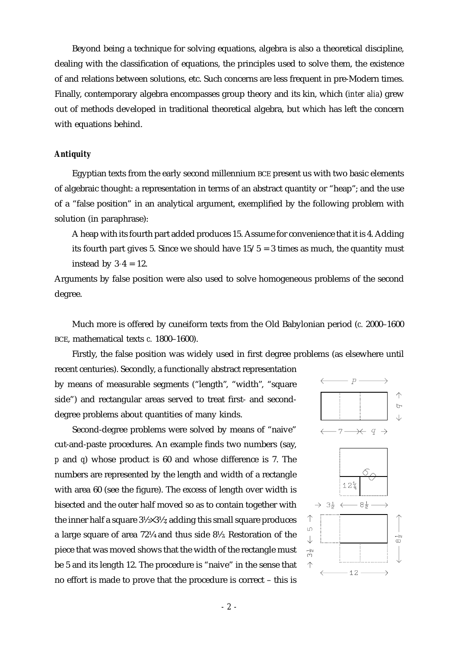Beyond being a technique for solving equations, algebra is also a theoretical discipline, dealing with the classification of equations, the principles used to solve them, the existence of and relations between solutions, etc. Such concerns are less frequent in pre-Modern times. Finally, contemporary algebra encompasses group theory and its kin, which (*inter alia*) grew out of methods developed in traditional theoretical algebra, but which has left the concern with equations behind.

#### *Antiquity*

Egyptian texts from the early second millennium BCE present us with two basic elements of algebraic thought: a representation in terms of an abstract quantity or "heap"; and the use of a "false position" in an analytical argument, exemplified by the following problem with solution (in paraphrase):

A heap with its fourth part added produces 15. Assume for convenience that it is 4. Adding its fourth part gives 5. Since we should have  $15/5 = 3$  times as much, the quantity must instead by  $3 \cdot 4 = 12$ .

Arguments by false position were also used to solve homogeneous problems of the second degree.

Much more is offered by cuneiform texts from the Old Babylonian period (*c.* 2000–1600 BCE, mathematical texts *c.* 1800–1600).

Firstly, the false position was widely used in first degree problems (as elsewhere until recent centuries). Secondly, a functionally abstract representation

by means of measurable segments ("length", "width", "square side") and rectangular areas served to treat first- and seconddegree problems about quantities of many kinds.

Second-degree problems were solved by means of "naive" cut-and-paste procedures. An example finds two numbers (say, *p* and *q*) whose product is 60 and whose difference is 7. The numbers are represented by the length and width of a rectangle with area 60 (see the figure). The excess of length over width is bisected and the outer half moved so as to contain together with the inner half a square 3½×3½; adding this small square produces a large square of area 72¼ and thus side 8½. Restoration of the piece that was moved shows that the width of the rectangle must be 5 and its length 12. The procedure is "naive" in the sense that no effort is made to prove that the procedure is correct – this is



 $12$ 

 $\rightarrow$ 

 $\uparrow$  $\overline{D}$ 

 $\downarrow$  $\frac{1}{2}$  $\uparrow$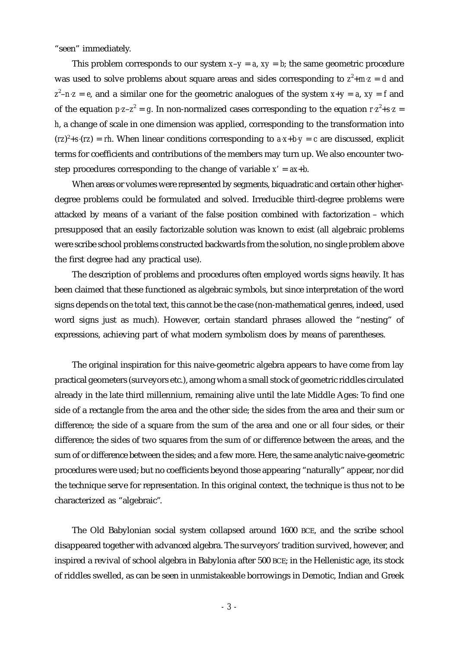"seen" immediately.

This problem corresponds to our system  $x-y = a$ ,  $xy = b$ ; the same geometric procedure was used to solve problems about square areas and sides corresponding to  $z^2 + m z = d$  and  $z^2 - nz = e$ , and a similar one for the geometric analogues of the system  $x+y = a$ ,  $xy = f$  and of the equation  $p z-z^2 = g$ . In non-normalized cases corresponding to the equation  $r z^2 + s z =$ *h*, a change of scale in one dimension was applied, corresponding to the transformation into  $(rz)^{2} + s(rz) = rh$ . When linear conditions corresponding to  $a \cdot x + b \cdot y = c$  are discussed, explicit terms for coefficients and contributions of the members may turn up. We also encounter twostep procedures corresponding to the change of variable *x'* = *ax*+*b*.

When areas or volumes were represented by segments, biquadratic and certain other higherdegree problems could be formulated and solved. Irreducible third-degree problems were attacked by means of a variant of the false position combined with factorization – which presupposed that an easily factorizable solution was known to exist (all algebraic problems were scribe school problems constructed backwards from the solution, no single problem above the first degree had any practical use).

The description of problems and procedures often employed words signs heavily. It has been claimed that these functioned as algebraic symbols, but since interpretation of the word signs depends on the total text, this cannot be the case (non-mathematical genres, indeed, used word signs just as much). However, certain standard phrases allowed the "nesting" of expressions, achieving part of what modern symbolism does by means of parentheses.

The original inspiration for this naive-geometric algebra appears to have come from lay practical geometers (surveyors etc.), among whom a small stock of geometric riddles circulated already in the late third millennium, remaining alive until the late Middle Ages: To find one side of a rectangle from the area and the other side; the sides from the area and their sum or difference; the side of a square from the sum of the area and one or all four sides, or their difference; the sides of two squares from the sum of or difference between the areas, and the sum of or difference between the sides; and a few more. Here, the same analytic naive-geometric procedures were used; but no coefficients beyond those appearing "naturally" appear, nor did the technique serve for representation. In this original context, the technique is thus not to be characterized as "algebraic".

The Old Babylonian social system collapsed around 1600 BCE, and the scribe school disappeared together with advanced algebra. The surveyors' tradition survived, however, and inspired a revival of school algebra in Babylonia after 500 BCE; in the Hellenistic age, its stock of riddles swelled, as can be seen in unmistakeable borrowings in Demotic, Indian and Greek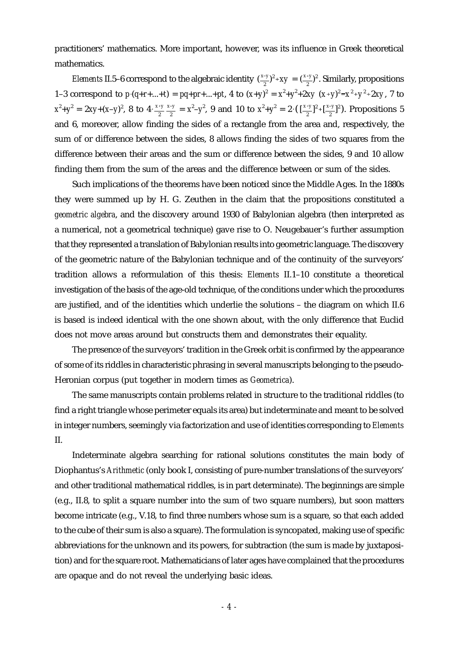practitioners' mathematics. More important, however, was its influence in Greek theoretical mathematics.

*Elements* II.5–6 correspond to the algebraic identity  $(\frac{x-y}{2})^2 + xy = (\frac{x+y}{2})^2$ . Similarly, propositions 1–3 correspond to  $p \cdot (q+r+...+t) = pq+pr+...+pt$ , 4 to  $(x+y)^2 = x^2+y^2+2xy (x+y)^2 = x^2+y^2+2xy$ , 7 to  $x^2 + y^2 = 2xy + (x-y)^2$ , 8 to  $4 \cdot \frac{x+y}{2} \frac{x-y}{2} = x^2 - y^2$ , 9 and 10 to  $x^2 + y^2 = 2 \cdot (\frac{x+y}{2})^2 + \frac{x-y}{2}$ . Propositions 5  $\frac{x-y}{2} = x^2 - y^2$ , 9 and 10 to  $x^2 + y^2 = 2 \cdot (\frac{x+y}{2})^2 + \frac{x-y}{2}^2$ and 6, moreover, allow finding the sides of a rectangle from the area and, respectively, the sum of or difference between the sides, 8 allows finding the sides of two squares from the difference between their areas and the sum or difference between the sides, 9 and 10 allow finding them from the sum of the areas and the difference between or sum of the sides.

Such implications of the theorems have been noticed since the Middle Ages. In the 1880s they were summed up by H. G. Zeuthen in the claim that the propositions constituted a *geometric algebra*, and the discovery around 1930 of Babylonian algebra (then interpreted as a numerical, not a geometrical technique) gave rise to O. Neugebauer's further assumption that they represented a translation of Babylonian results into geometric language. The discovery of the geometric nature of the Babylonian technique and of the continuity of the surveyors' tradition allows a reformulation of this thesis: *Elements* II.1–10 constitute a theoretical investigation of the basis of the age-old technique, of the conditions under which the procedures are justified, and of the identities which underlie the solutions – the diagram on which II.6 is based is indeed identical with the one shown about, with the only difference that Euclid does not move areas around but constructs them and demonstrates their equality.

The presence of the surveyors' tradition in the Greek orbit is confirmed by the appearance of some of its riddles in characteristic phrasing in several manuscripts belonging to the pseudo-Heronian corpus (put together in modern times as *Geometrica*).

The same manuscripts contain problems related in structure to the traditional riddles (to find a right triangle whose perimeter equals its area) but indeterminate and meant to be solved in integer numbers, seemingly via factorization and use of identities corresponding to *Elements* II.

Indeterminate algebra searching for rational solutions constitutes the main body of Diophantus's *Arithmetic* (only book I, consisting of pure-number translations of the surveyors' and other traditional mathematical riddles, is in part determinate). The beginnings are simple (e.g., II.8, to split a square number into the sum of two square numbers), but soon matters become intricate (e.g., V.18, to find three numbers whose sum is a square, so that each added to the cube of their sum is also a square). The formulation is syncopated, making use of specific abbreviations for the unknown and its powers, for subtraction (the sum is made by juxtaposition) and for the square root. Mathematicians of later ages have complained that the procedures are opaque and do not reveal the underlying basic ideas.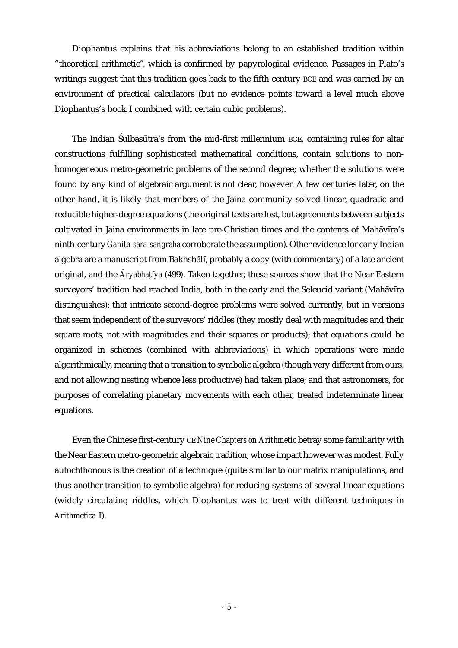Diophantus explains that his abbreviations belong to an established tradition within "theoretical arithmetic", which is confirmed by papyrological evidence. Passages in Plato's writings suggest that this tradition goes back to the fifth century BCE and was carried by an environment of practical calculators (but no evidence points toward a level much above Diophantus's book I combined with certain cubic problems).

The Indian Sulbasutra's from the mid-first millennium BCE, containing rules for altar constructions fulfilling sophisticated mathematical conditions, contain solutions to nonhomogeneous metro-geometric problems of the second degree; whether the solutions were found by any kind of algebraic argument is not clear, however. A few centuries later, on the other hand, it is likely that members of the Jaina community solved linear, quadratic and reducible higher-degree equations (the original texts are lost, but agreements between subjects cultivated in Jaina environments in late pre-Christian times and the contents of Mahāvīra's ninth-century *Ganita-sāra-saṅgraha* corroborate the assumption). Other evidence for early Indian algebra are a manuscript from Bakhshālī, probably a copy (with commentary) of a late ancient original, and the *Āryabhatīya* (499). Taken together, these sources show that the Near Eastern surveyors' tradition had reached India, both in the early and the Seleucid variant (Mahāvīra distinguishes); that intricate second-degree problems were solved currently, but in versions that seem independent of the surveyors' riddles (they mostly deal with magnitudes and their square roots, not with magnitudes and their squares or products); that equations could be organized in schemes (combined with abbreviations) in which operations were made algorithmically, meaning that a transition to symbolic algebra (though very different from ours, and not allowing nesting whence less productive) had taken place; and that astronomers, for purposes of correlating planetary movements with each other, treated indeterminate linear equations.

Even the Chinese first-century CE *Nine Chapters on Arithmetic* betray some familiarity with the Near Eastern metro-geometric algebraic tradition, whose impact however was modest. Fully autochthonous is the creation of a technique (quite similar to our matrix manipulations, and thus another transition to symbolic algebra) for reducing systems of several linear equations (widely circulating riddles, which Diophantus was to treat with different techniques in *Arithmetica* I).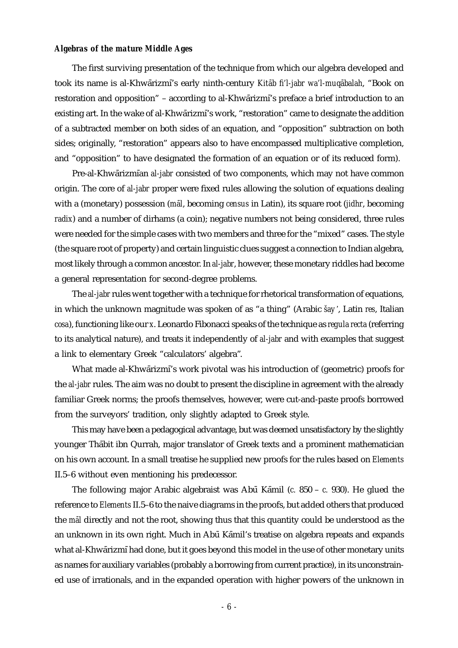## *Algebras of the mature Middle Ages*

The first surviving presentation of the technique from which our algebra developed and took its name is al-Khwārizmī's early ninth-century *Kitāb fi'l-jabr wa'l-muqābalah*, "Book on restoration and opposition" – according to al-Khwārizmī's preface a brief introduction to an existing art. In the wake of al-Khwārizmī's work, "restoration" came to designate the addition of a subtracted member on both sides of an equation, and "opposition" subtraction on both sides; originally, "restoration" appears also to have encompassed multiplicative completion, and "opposition" to have designated the formation of an equation or of its reduced form).

Pre-al-Khwārizmīan *al-jabr* consisted of two components, which may not have common origin. The core of *al-jabr* proper were fixed rules allowing the solution of equations dealing with a (monetary) possession (*mãl*, becoming *census* in Latin), its square root (*jidhr*, becoming *radix*) and a number of dirhams (a coin); negative numbers not being considered, three rules were needed for the simple cases with two members and three for the "mixed" cases. The style (the square root of property) and certain linguistic clues suggest a connection to Indian algebra, most likely through a common ancestor. In *al-jabr*, however, these monetary riddles had become a general representation for second-degree problems.

The *al-jabr*rules went together with a technique for rhetorical transformation of equations, in which the unknown magnitude was spoken of as "a thing" (Arabic *šay* , Latin *res*, Italian *cosa*), functioning like our *x*. Leonardo Fibonacci speaks of the technique as *regula recta* (referring to its analytical nature), and treats it independently of *al-jabr* and with examples that suggest a link to elementary Greek "calculators' algebra".

What made al-Khwārizmī's work pivotal was his introduction of (geometric) proofs for the *al-jabr* rules. The aim was no doubt to present the discipline in agreement with the already familiar Greek norms; the proofs themselves, however, were cut-and-paste proofs borrowed from the surveyors' tradition, only slightly adapted to Greek style.

This may have been a pedagogical advantage, but was deemed unsatisfactory by the slightly younger Thabit ibn Qurrah, major translator of Greek texts and a prominent mathematician on his own account. In a small treatise he supplied new proofs for the rules based on *Elements* II.5–6 without even mentioning his predecessor.

The following major Arabic algebraist was Abū Kāmil (*c.* 850 – *c.* 930). He glued the reference to *Elements* II.5–6 to the naive diagrams in the proofs, but added others that produced the *mal* directly and not the root, showing thus that this quantity could be understood as the an unknown in its own right. Much in Abū Kāmil's treatise on algebra repeats and expands what al-Khwārizmī had done, but it goes beyond this model in the use of other monetary units as names for auxiliary variables (probably a borrowing from current practice), in its unconstrained use of irrationals, and in the expanded operation with higher powers of the unknown in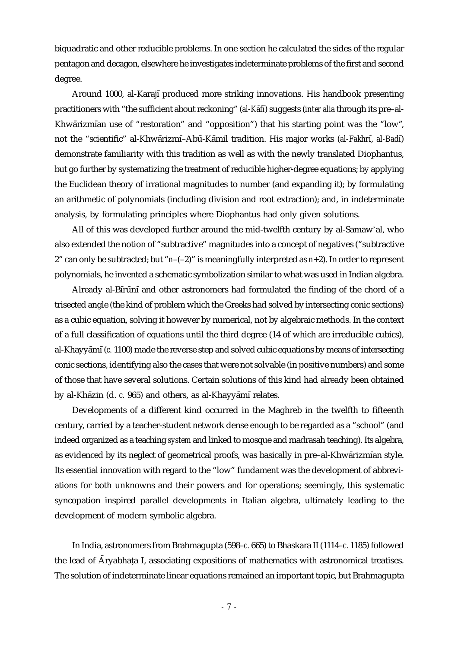biquadratic and other reducible problems. In one section he calculated the sides of the regular pentagon and decagon, elsewhere he investigates indeterminate problems of the first and second degree.

Around 1000, al-Karajī produced more striking innovations. His handbook presenting practitioners with "the sufficient about reckoning" (*al-Kāfi*) suggests (*inter alia* through its pre-al-Khwārizmīan use of "restoration" and "opposition") that his starting point was the "low", not the "scientific" al-Khwārizmī–Abū-Kāmil tradition. His major works (al-Fakhrī, al-Badī) demonstrate familiarity with this tradition as well as with the newly translated Diophantus, but go further by systematizing the treatment of reducible higher-degree equations; by applying the Euclidean theory of irrational magnitudes to number (and expanding it); by formulating an arithmetic of polynomials (including division and root extraction); and, in indeterminate analysis, by formulating principles where Diophantus had only given solutions.

All of this was developed further around the mid-twelfth century by al-Samaw'al, who also extended the notion of "subtractive" magnitudes into a concept of negatives ("subtractive 2" can only be subtracted; but "*n*–(–2)" is meaningfully interpreted as *n*+2). In order to represent polynomials, he invented a schematic symbolization similar to what was used in Indian algebra.

Already al-Bīrūnī and other astronomers had formulated the finding of the chord of a trisected angle (the kind of problem which the Greeks had solved by intersecting conic sections) as a cubic equation, solving it however by numerical, not by algebraic methods. In the context of a full classification of equations until the third degree (14 of which are irreducible cubics), al-Khayyāmī (*c.* 1100) made the reverse step and solved cubic equations by means of intersecting conic sections, identifying also the cases that were not solvable (in positive numbers) and some of those that have several solutions. Certain solutions of this kind had already been obtained by al-Khāzin (d. *c.* 965) and others, as al-Khayyāmī relates.

Developments of a different kind occurred in the Maghreb in the twelfth to fifteenth century, carried by a teacher-student network dense enough to be regarded as a "school" (and indeed organized as a teaching *system* and linked to mosque and madrasah teaching). Its algebra, as evidenced by its neglect of geometrical proofs, was basically in pre–al-Khwārizmīan style. Its essential innovation with regard to the "low" fundament was the development of abbreviations for both unknowns and their powers and for operations; seemingly, this systematic syncopation inspired parallel developments in Italian algebra, ultimately leading to the development of modern symbolic algebra.

In India, astronomers from Brahmagupta (598–*c.* 665) to Bhaskara II (1114–*c.* 1185) followed the lead of Āryabhata I, associating expositions of mathematics with astronomical treatises. The solution of indeterminate linear equations remained an important topic, but Brahmagupta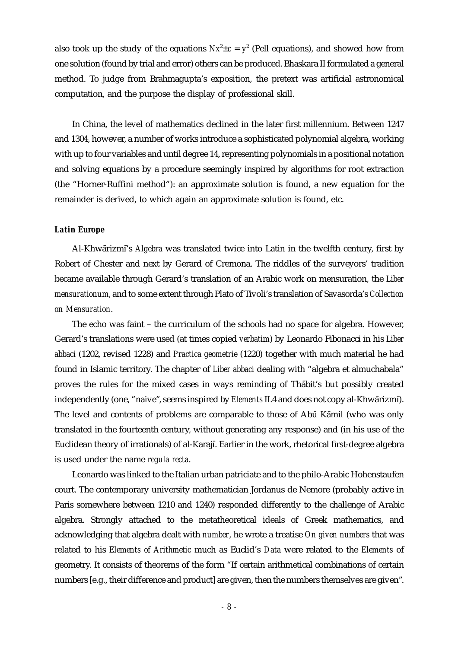also took up the study of the equations  $Nx^2 \pm c = y^2$  (Pell equations), and showed how from one solution (found by trial and error) others can be produced. Bhaskara II formulated a general method. To judge from Brahmagupta's exposition, the pretext was artificial astronomical computation, and the purpose the display of professional skill.

In China, the level of mathematics declined in the later first millennium. Between 1247 and 1304, however, a number of works introduce a sophisticated polynomial algebra, working with up to four variables and until degree 14, representing polynomials in a positional notation and solving equations by a procedure seemingly inspired by algorithms for root extraction (the "Horner-Ruffini method"): an approximate solution is found, a new equation for the remainder is derived, to which again an approximate solution is found, etc.

## *Latin Europe*

Al-Khwārizmī's *Algebra* was translated twice into Latin in the twelfth century, first by Robert of Chester and next by Gerard of Cremona. The riddles of the surveyors' tradition became available through Gerard's translation of an Arabic work on mensuration, the *Liber mensurationum*, and to some extent through Plato of Tivoli's translation of Savasorda's *Collection on Mensuration*.

The echo was faint – the curriculum of the schools had no space for algebra. However, Gerard's translations were used (at times copied *verbatim*) by Leonardo Fibonacci in his *Liber abbaci* (1202, revised 1228) and *Practica geometrie* (1220) together with much material he had found in Islamic territory. The chapter of *Liber abbaci* dealing with "algebra et almuchabala" proves the rules for the mixed cases in ways reminding of Thabit's but possibly created independently (one, "naive", seems inspired by *Elements* II.4 and does not copy al-Khwārizmī). The level and contents of problems are comparable to those of Abū Kamil (who was only translated in the fourteenth century, without generating any response) and (in his use of the Euclidean theory of irrationals) of al-Karajī. Earlier in the work, rhetorical first-degree algebra is used under the name *regula recta*.

Leonardo was linked to the Italian urban patriciate and to the philo-Arabic Hohenstaufen court. The contemporary university mathematician Jordanus de Nemore (probably active in Paris somewhere between 1210 and 1240) responded differently to the challenge of Arabic algebra. Strongly attached to the metatheoretical ideals of Greek mathematics, and acknowledging that algebra dealt with *number*, he wrote a treatise *On given numbers* that was related to his *Elements of Arithmetic* much as Euclid's *Data* were related to the *Elements* of geometry. It consists of theorems of the form "If certain arithmetical combinations of certain numbers [e.g., their difference and product] are given, then the numbers themselves are given".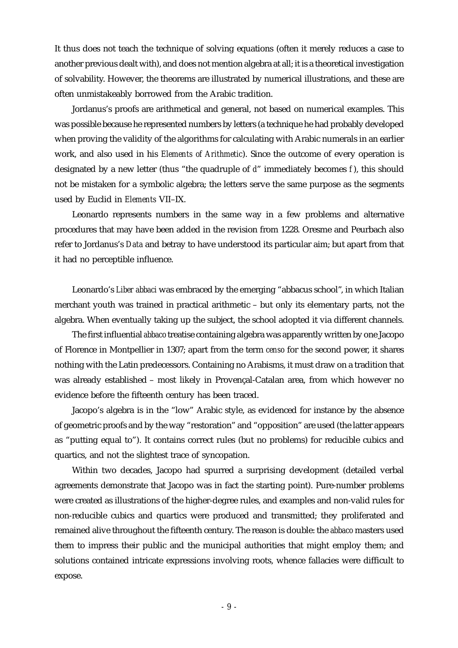It thus does not teach the technique of solving equations (often it merely reduces a case to another previous dealt with), and does not mention algebra at all; it is a theoretical investigation of solvability. However, the theorems are illustrated by numerical illustrations, and these are often unmistakeably borrowed from the Arabic tradition.

Jordanus's proofs are arithmetical and general, not based on numerical examples. This was possible because he represented numbers by letters (a technique he had probably developed when proving the validity of the algorithms for calculating with Arabic numerals in an earlier work, and also used in his *Elements of Arithmetic*). Since the outcome of every operation is designated by a new letter (thus "the quadruple of *d*" immediately becomes *f* ), this should not be mistaken for a symbolic algebra; the letters serve the same purpose as the segments used by Euclid in *Elements* VII–IX.

Leonardo represents numbers in the same way in a few problems and alternative procedures that may have been added in the revision from 1228. Oresme and Peurbach also refer to Jordanus's *Data* and betray to have understood its particular aim; but apart from that it had no perceptible influence.

Leonardo's *Liber abbaci* was embraced by the emerging "abbacus school", in which Italian merchant youth was trained in practical arithmetic – but only its elementary parts, not the algebra. When eventually taking up the subject, the school adopted it via different channels.

The first influential *abbaco* treatise containing algebra was apparently written by one Jacopo of Florence in Montpellier in 1307; apart from the term *censo* for the second power, it shares nothing with the Latin predecessors. Containing no Arabisms, it must draw on a tradition that was already established – most likely in Provençal-Catalan area, from which however no evidence before the fifteenth century has been traced.

Jacopo's algebra is in the "low" Arabic style, as evidenced for instance by the absence of geometric proofs and by the way "restoration" and "opposition" are used (the latter appears as "putting equal to"). It contains correct rules (but no problems) for reducible cubics and quartics, and not the slightest trace of syncopation.

Within two decades, Jacopo had spurred a surprising development (detailed verbal agreements demonstrate that Jacopo was in fact the starting point). Pure-number problems were created as illustrations of the higher-degree rules, and examples and non-valid rules for non-reducible cubics and quartics were produced and transmitted; they proliferated and remained alive throughout the fifteenth century. The reason is double: the *abbaco* masters used them to impress their public and the municipal authorities that might employ them; and solutions contained intricate expressions involving roots, whence fallacies were difficult to expose.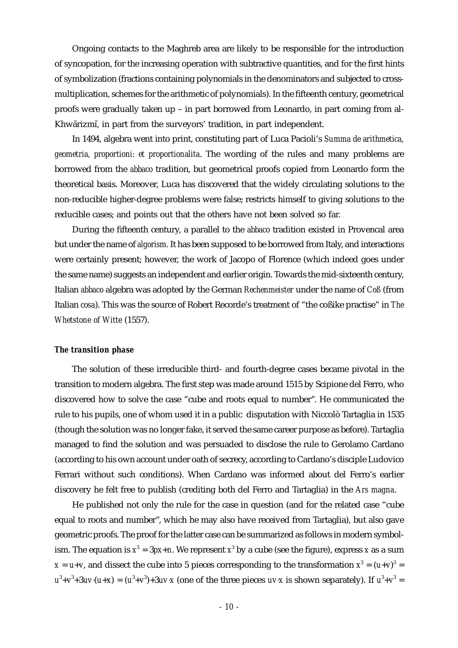Ongoing contacts to the Maghreb area are likely to be responsible for the introduction of syncopation, for the increasing operation with subtractive quantities, and for the first hints of symbolization (fractions containing polynomials in the denominators and subjected to crossmultiplication, schemes for the arithmetic of polynomials). In the fifteenth century, geometrical proofs were gradually taken up – in part borrowed from Leonardo, in part coming from al-Khwārizmī, in part from the surveyors' tradition, in part independent.

In 1494, algebra went into print, constituting part of Luca Pacioli's *Summa de arithmetica, geometria, proportioni: et proportionalita*. The wording of the rules and many problems are borrowed from the *abbaco* tradition, but geometrical proofs copied from Leonardo form the theoretical basis. Moreover, Luca has discovered that the widely circulating solutions to the non-reducible higher-degree problems were false; restricts himself to giving solutions to the reducible cases; and points out that the others have not been solved so far.

During the fifteenth century, a parallel to the *abbaco* tradition existed in Provencal area but under the name of *algorism*. It has been supposed to be borrowed from Italy, and interactions were certainly present; however, the work of Jacopo of Florence (which indeed goes under the same name) suggests an independent and earlier origin. Towards the mid-sixteenth century, Italian *abbaco* algebra was adopted by the German *Rechenmeister* under the name of *Coß* (from Italian *cosa*). This was the source of Robert Recorde's treatment of "the coßike practise" in *The Whetstone of Witte* (1557).

#### *The transition phase*

The solution of these irreducible third- and fourth-degree cases became pivotal in the transition to modern algebra. The first step was made around 1515 by Scipione del Ferro, who discovered how to solve the case "cube and roots equal to number". He communicated the rule to his pupils, one of whom used it in a public disputation with Niccolò Tartaglia in 1535 (though the solution was no longer fake, it served the same career purpose as before). Tartaglia managed to find the solution and was persuaded to disclose the rule to Gerolamo Cardano (according to his own account under oath of secrecy, according to Cardano's disciple Ludovico Ferrari without such conditions). When Cardano was informed about del Ferro's earlier discovery he felt free to publish (crediting both del Ferro and Tartaglia) in the *Ars magna*.

He published not only the rule for the case in question (and for the related case "cube equal to roots and number", which he may also have received from Tartaglia), but also gave geometric proofs. The proof for the latter case can be summarized as follows in modern symbolism. The equation is  $x^3 = 3px+n$ . We represent  $x^3$  by a cube (see the figure), express *x* as a sum  $x = u+v$ , and dissect the cube into 5 pieces corresponding to the transformation  $x^3 = (u+v)^3 =$  $u^3 + v^3 + 3uv \cdot (u + x) = (u^3 + v^3) + 3uv \cdot x$  (one of the three pieces *uv* x is shown separately). If  $u^3 + v^3 =$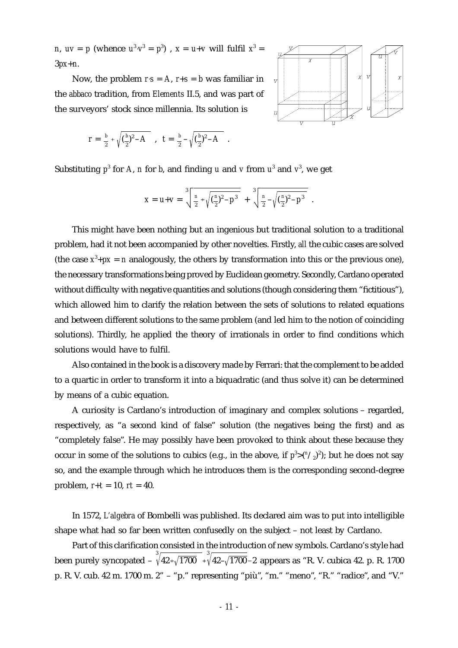*n*,  $uv = p$  (whence  $u^3 \cdot v^3 = p^3$ ),  $x = u + v$  will fulfil  $x^3 = u$ 3*px*+*n*.

Now, the problem  $r \cdot s = A$ ,  $r + s = b$  was familiar in the *abbaco* tradition, from *Elements* II.5, and was part of the surveyors' stock since millennia. Its solution is

$$
r = \frac{b}{2} + \sqrt{(\frac{b}{2})^2 - A}
$$
,  $t = \frac{b}{2} - \sqrt{(\frac{b}{2})^2 - A}$ .



Substituting  $p^3$  for A, *n* for *b*, and finding *u* and *v* from  $u^3$  and  $v^3$ , we get

$$
X = U + V = \sqrt[3]{\frac{n}{2} + \sqrt{(\frac{n}{2})^2 - p^3}} + \sqrt[3]{\frac{n}{2} - \sqrt{(\frac{n}{2})^2 - p^3}}.
$$

This might have been nothing but an ingenious but traditional solution to a traditional problem, had it not been accompanied by other novelties. Firstly, *all* the cubic cases are solved (the case  $x^3 + px = n$  analogously, the others by transformation into this or the previous one), the necessary transformations being proved by Euclidean geometry. Secondly, Cardano operated without difficulty with negative quantities and solutions (though considering them "fictitious"), which allowed him to clarify the relation between the sets of solutions to related equations and between different solutions to the same problem (and led him to the notion of coinciding solutions). Thirdly, he applied the theory of irrationals in order to find conditions which solutions would have to fulfil.

Also contained in the book is a discovery made by Ferrari: that the complement to be added to a quartic in order to transform it into a biquadratic (and thus solve it) can be determined by means of a cubic equation.

A curiosity is Cardano's introduction of imaginary and complex solutions – regarded, respectively, as "a second kind of false" solution (the negatives being the first) and as "completely false". He may possibly have been provoked to think about these because they occur in some of the solutions to cubics (e.g., in the above, if  $p^3 > (n \neq 2)^2$ ); but he does not say so, and the example through which he introduces them is the corresponding second-degree problem,  $r + t = 10$ ,  $rt = 40$ .

In 1572, *L'algebra* of Bombelli was published. Its declared aim was to put into intelligible shape what had so far been written confusedly on the subject – not least by Cardano.

Part of this clarification consisted in the introduction of new symbols. Cardano's style had been purely syncopated –  $\sqrt[3]{42+\sqrt{1700}}$   $\sqrt[3]{42-\sqrt{1700}}$ –2 appears as "R. V. cubica 42. p. R. 1700 p. R. V. cub. 42 m. 1700 m. 2" – "p." representing "più", "m." "meno", "R." "radice", and "V."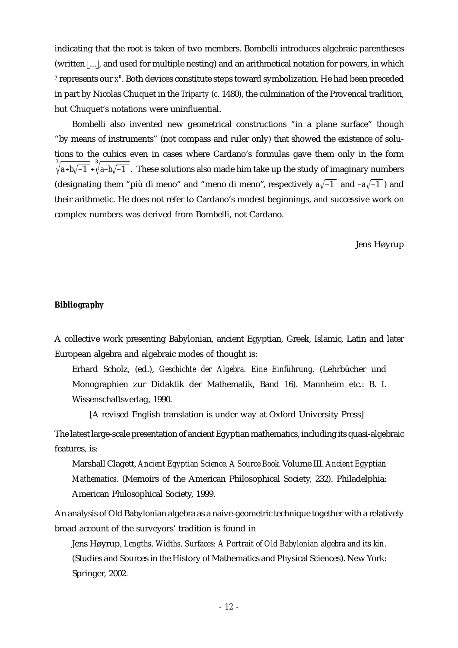indicating that the root is taken of two members. Bombelli introduces algebraic parentheses (written  $\vert ... \vert$ , and used for multiple nesting) and an arithmetical notation for powers, in which <sup>*n*</sup> represents our *x*<sup>n</sup>. Both devices constitute steps toward symbolization. He had been preceded in part by Nicolas Chuquet in the *Triparty* (*c.* 1480), the culmination of the Provencal tradition, but Chuquet's notations were uninfluential.

Bombelli also invented new geometrical constructions "in a plane surface" though "by means of instruments" (not compass and ruler only) that showed the existence of solutions to the cubics even in cases where Cardano's formulas gave them only in the form  $\sqrt[3]{a+b\sqrt{-1}}$  +  $\sqrt[3]{a-b\sqrt{-1}}$  . These solutions also made him take up the study of imaginary numbers (designating them "più di meno" and "meno di meno", respectively  $a\sqrt{-1}$  and  $-a\sqrt{-1}$ ) and their arithmetic. He does not refer to Cardano's modest beginnings, and successive work on complex numbers was derived from Bombelli, not Cardano.

Jens Høyrup

#### *Bibliography*

A collective work presenting Babylonian, ancient Egyptian, Greek, Islamic, Latin and later European algebra and algebraic modes of thought is:

Erhard Scholz, (ed.), *Geschichte der Algebra. Eine Einführung.* (Lehrbücher und Monographien zur Didaktik der Mathematik, Band 16). Mannheim etc.: B. I. Wissenschaftsverlag, 1990.

[A revised English translation is under way at Oxford University Press]

The latest large-scale presentation of ancient Egyptian mathematics, including its quasi-algebraic features, is:

Marshall Clagett, *Ancient Egyptian Science. A Source Book*. Volume III. *Ancient Egyptian Mathematics*. (Memoirs of the American Philosophical Society, 232). Philadelphia: American Philosophical Society, 1999.

An analysis of Old Babylonian algebra as a naive-geometric technique together with a relatively broad account of the surveyors' tradition is found in

Jens Høyrup, *Lengths, Widths, Surfaces: A Portrait of Old Babylonian algebra and its kin*. (Studies and Sources in the History of Mathematics and Physical Sciences). New York: Springer, 2002.